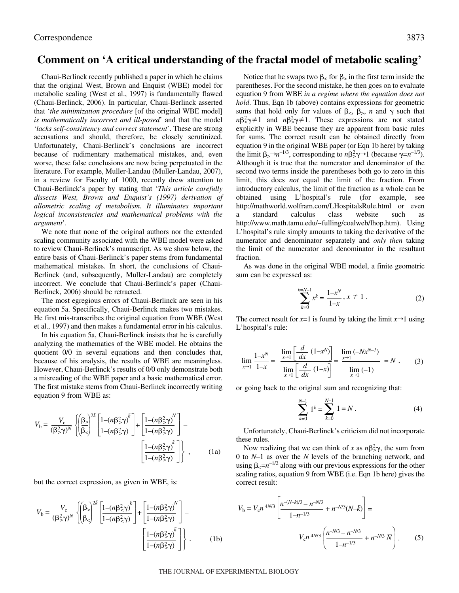## **Comment on 'A critical understanding of the fractal model of metabolic scaling'**

Chaui-Berlinck recently published a paper in which he claims that the original West, Brown and Enquist (WBE) model for metabolic scaling (West et al., 1997) is fundamentally flawed (Chaui-Berlinck, 2006). In particular, Chaui-Berlinck asserted that '*the minimization procedure* [of the original WBE model] *is mathematically incorrect and ill-posed*' and that the model '*lacks self-consistency and correct statement*'. These are strong accusations and should, therefore, be closely scrutinized. Unfortunately, Chaui-Berlinck's conclusions are incorrect because of rudimentary mathematical mistakes, and, even worse, these false conclusions are now being perpetuated in the literature. For example, Muller-Landau (Muller-Landau, 2007), in a review for Faculty of 1000, recently drew attention to Chaui-Berlinck's paper by stating that '*This article carefully dissects West, Brown and Enquist's (1997) derivation of allometric scaling of metabolism. It illuminates important logical inconsistencies and mathematical problems with the argument*'.

We note that none of the original authors nor the extended scaling community associated with the WBE model were asked to review Chaui-Berlinck's manuscript. As we show below, the entire basis of Chaui-Berlinck's paper stems from fundamental mathematical mistakes. In short, the conclusions of Chaui-Berlinck (and, subsequently, Muller-Landau) are completely incorrect. We conclude that Chaui-Berlinck's paper (Chaui-Berlinck, 2006) should be retracted.

The most egregious errors of Chaui-Berlinck are seen in his equation 5a. Specifically, Chaui-Berlinck makes two mistakes. He first mis-transcribes the original equation from WBE (West et al., 1997) and then makes a fundamental error in his calculus.

In his equation 5a, Chaui-Berlinck insists that he is carefully analyzing the mathematics of the WBE model. He obtains the quotient 0/0 in several equations and then concludes that, because of his analysis, the results of WBE are meaningless. However, Chaui-Berlinck's results of 0/0 only demonstrate both a misreading of the WBE paper and a basic mathematical error. The first mistake stems from Chaui-Berlinck incorrectly writing equation 9 from WBE as:

$$
V_{\rm b} = \frac{V_{\rm c}}{(\beta_{\rm s}^2 \gamma)^N} \left\{ \left( \frac{\beta_{\rm s}}{\beta_{\rm s}} \right)^{2k} \left[ \frac{1 - (n \beta_{\rm s}^2 \gamma)^k}{1 - (n \beta_{\rm s}^2 \gamma)} \right] + \left[ \frac{1 - (n \beta_{\rm s}^2 \gamma)^N}{1 - (n \beta_{\rm s}^2 \gamma)} \right] - \left[ \frac{1 - (n \beta_{\rm s}^2 \gamma)^k}{1 - (n \beta_{\rm s}^2 \gamma)} \right] \right\} ,
$$
 (1a)

but the correct expression, as given in WBE, is:

$$
V_{\rm b} = \frac{V_{\rm c}}{(\beta_{\rm s}^2 \gamma)^N} \left\{ \left( \frac{\beta_{\rm s}}{\beta_{\rm s}} \right)^{2k} \left[ \frac{1 - (n \beta_{\rm s}^2 \gamma)^k}{1 - (n \beta_{\rm s}^2 \gamma)} \right] + \left[ \frac{1 - (n \beta_{\rm s}^2 \gamma)^N}{1 - (n \beta_{\rm s}^2 \gamma)} \right] - \left[ \frac{1 - (n \beta_{\rm s}^2 \gamma)^k}{1 - (n \beta_{\rm s}^2 \gamma)} \right] \right\}.
$$
 (1b)

Notice that he swaps two  $\beta_{\leq}$  for  $\beta_{>}$  in the first term inside the parentheses. For the second mistake, he then goes on to evaluate equation·9 from WBE *in a regime where the equation does not hold*. Thus, Eqn 1b (above) contains expressions for geometric sums that hold only for values of  $\beta_<$ ,  $\beta_>, n$  and  $\gamma$  such that  $n\beta^2 < \gamma \neq 1$  and  $n\beta^2 > \gamma \neq 1$ . These expressions are not stated explicitly in WBE because they are apparent from basic rules for sums. The correct result can be obtained directly from equation 9 in the original WBE paper (or Eqn 1b here) by taking the limit  $\beta_{>}\rightarrow n^{-1/3}$ , corresponding to  $n\beta_{>}^2\gamma\rightarrow 1$  (because  $\gamma=n^{-1/3}$ ).

limit, this does *not* equal the limit of the fraction. From introductory calculus, the limit of the fraction as a whole can be obtained using L'hospital's rule (for example, see http://mathworld.wolfram.com/LHospitalsRule.html or even a standard calculus class website such as http://www.math.tamu.edu/~fulling/coalweb/lhop.htm). Using L'hospital's rule simply amounts to taking the derivative of the numerator and denominator separately and *only then* taking the limit of the numerator and denominator in the resultant fraction.

Although it is true that the numerator and denominator of the second two terms inside the parentheses both go to zero in this

As was done in the original WBE model, a finite geometric sum can be expressed as:

$$
\sum_{k=0}^{k=N-1} x^k = \frac{1-x^N}{1-x}, x \neq 1.
$$
 (2)

The correct result for  $x=1$  is found by taking the limit  $x\rightarrow1$  using L'hospital's rule:

$$
\lim_{x \to 1} \frac{1 - x^N}{1 - x} = \frac{\lim_{x \to 1} \left[ \frac{d}{dx} (1 - x^N) \right]}{\lim_{x \to 1} \left[ \frac{d}{dx} (1 - x) \right]} = \frac{\lim_{x \to 1} (-Nx^{N-1})}{\lim_{x \to 1} (-1)} = N , \qquad (3)
$$

or going back to the original sum and recognizing that:

$$
\sum_{k=0}^{N-1} 1^k = \sum_{k=0}^{N-1} 1 = N.
$$
 (4)

Unfortunately, Chaui-Berlinck's criticism did not incorporate these rules.

Now realizing that we can think of *x* as  $n\beta^2 y$ , the sum from 0 to *N*–1 as over the *N* levels of the branching network, and using  $\beta_{\leq} = n^{-1/2}$  along with our previous expressions for the other scaling ratios, equation 9 from WBE (i.e. Eqn 1b here) gives the correct result:

$$
V_{\rm b} = V_{\rm c} n^{4N/3} \left[ \frac{n^{-(N-\bar{k})/3} - n^{-N/3}}{1 - n^{-1/3}} + n^{-N/3} (N-\bar{k}) \right] =
$$
  

$$
V_{\rm c} n^{4N/3} \left( \frac{n^{-\bar{N}/3} - n^{-N/3}}{1 - n^{-1/3}} + n^{-N/3} \ \overline{N} \right). \tag{5}
$$